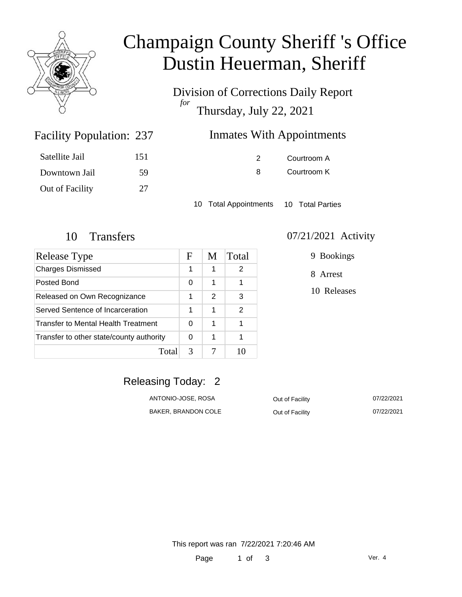

# Champaign County Sheriff 's Office Dustin Heuerman, Sheriff

Division of Corrections Daily Report *for* Thursday, July 22, 2021

# **Inmates With Appointments**

| Satellite Jail  | 151 |
|-----------------|-----|
| Downtown Jail   | 59  |
| Out of Facility | 27  |

Facility Population: 237

2 Courtroom A 8 Courtroom K

10 Total Appointments 10 Total Parties

| Release Type                             | F | M | Total |
|------------------------------------------|---|---|-------|
| <b>Charges Dismissed</b>                 |   | 1 | 2     |
| Posted Bond                              |   | 1 | 1     |
| Released on Own Recognizance             |   | 2 | 3     |
| Served Sentence of Incarceration         |   | 1 | 2     |
| Transfer to Mental Health Treatment      |   | 1 |       |
| Transfer to other state/county authority |   | 1 |       |
| Total                                    | 3 |   |       |

#### 10 Transfers 07/21/2021 Activity

9 Bookings

8 Arrest

10 Releases

### Releasing Today: 2

ANTONIO-JOSE, ROSA **Out of Facility** 07/22/2021 BAKER, BRANDON COLE **Out of Facility OT/22/2021**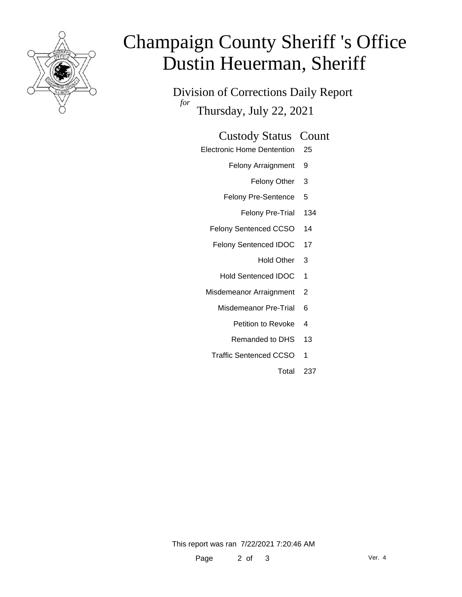

# Champaign County Sheriff 's Office Dustin Heuerman, Sheriff

Division of Corrections Daily Report *for* Thursday, July 22, 2021

#### Custody Status Count

- Electronic Home Dentention 25
	- Felony Arraignment 9
		- Felony Other 3
	- Felony Pre-Sentence 5
		- Felony Pre-Trial 134
	- Felony Sentenced CCSO 14
	- Felony Sentenced IDOC 17
		- Hold Other 3
		- Hold Sentenced IDOC 1
	- Misdemeanor Arraignment 2
		- Misdemeanor Pre-Trial 6
			- Petition to Revoke 4
			- Remanded to DHS 13
		- Traffic Sentenced CCSO 1
			- Total 237

This report was ran 7/22/2021 7:20:46 AM